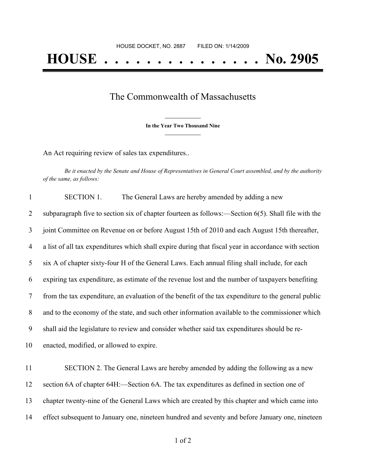## The Commonwealth of Massachusetts

**\_\_\_\_\_\_\_\_\_\_\_\_\_\_\_ In the Year Two Thousand Nine \_\_\_\_\_\_\_\_\_\_\_\_\_\_\_**

An Act requiring review of sales tax expenditures..

Be it enacted by the Senate and House of Representatives in General Court assembled, and by the authority *of the same, as follows:*

 SECTION 1. The General Laws are hereby amended by adding a new subparagraph five to section six of chapter fourteen as follows:—Section 6(5). Shall file with the joint Committee on Revenue on or before August 15th of 2010 and each August 15th thereafter, a list of all tax expenditures which shall expire during that fiscal year in accordance with section six A of chapter sixty-four H of the General Laws. Each annual filing shall include, for each expiring tax expenditure, as estimate of the revenue lost and the number of taxpayers benefiting from the tax expenditure, an evaluation of the benefit of the tax expenditure to the general public and to the economy of the state, and such other information available to the commissioner which shall aid the legislature to review and consider whether said tax expenditures should be re- enacted, modified, or allowed to expire. SECTION 2. The General Laws are hereby amended by adding the following as a new section 6A of chapter 64H:—Section 6A. The tax expenditures as defined in section one of chapter twenty-nine of the General Laws which are created by this chapter and which came into effect subsequent to January one, nineteen hundred and seventy and before January one, nineteen